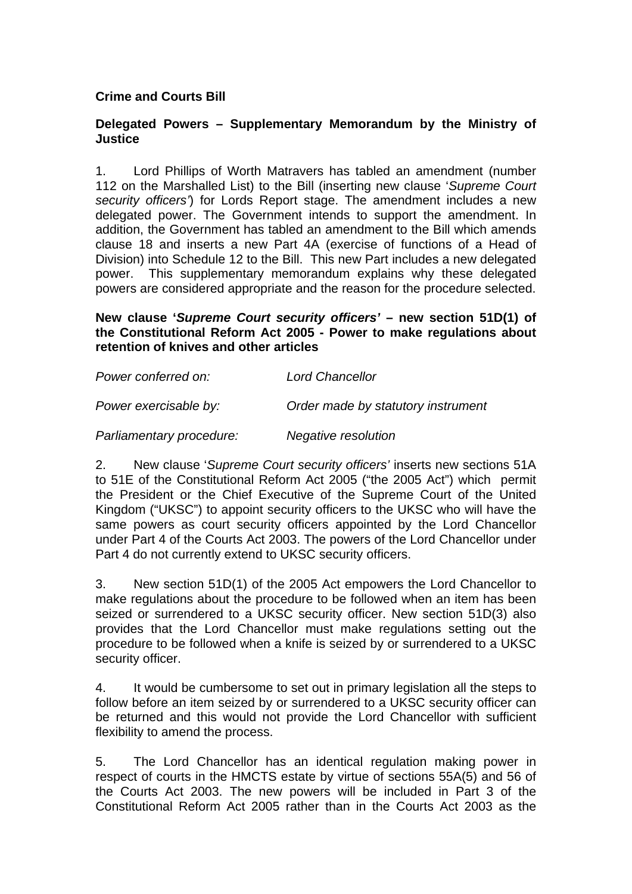## **Crime and Courts Bill**

## **Delegated Powers – Supplementary Memorandum by the Ministry of Justice**

1. Lord Phillips of Worth Matravers has tabled an amendment (number 112 on the Marshalled List) to the Bill (inserting new clause '*Supreme Court security officers'*) for Lords Report stage. The amendment includes a new delegated power. The Government intends to support the amendment. In addition, the Government has tabled an amendment to the Bill which amends clause 18 and inserts a new Part 4A (exercise of functions of a Head of Division) into Schedule 12 to the Bill. This new Part includes a new delegated power. This supplementary memorandum explains why these delegated powers are considered appropriate and the reason for the procedure selected.

## **New clause '***Supreme Court security officers'* **– new section 51D(1) of the Constitutional Reform Act 2005 - Power to make regulations about retention of knives and other articles**

| Power conferred on:      | <b>Lord Chancellor</b>             |
|--------------------------|------------------------------------|
| Power exercisable by:    | Order made by statutory instrument |
| Parliamentary procedure: | Negative resolution                |

2. New clause '*Supreme Court security officers'* inserts new sections 51A to 51E of the Constitutional Reform Act 2005 ("the 2005 Act") which permit the President or the Chief Executive of the Supreme Court of the United Kingdom ("UKSC") to appoint security officers to the UKSC who will have the same powers as court security officers appointed by the Lord Chancellor under Part 4 of the Courts Act 2003. The powers of the Lord Chancellor under Part 4 do not currently extend to UKSC security officers.

3. New section 51D(1) of the 2005 Act empowers the Lord Chancellor to make regulations about the procedure to be followed when an item has been seized or surrendered to a UKSC security officer. New section 51D(3) also provides that the Lord Chancellor must make regulations setting out the procedure to be followed when a knife is seized by or surrendered to a UKSC security officer.

4. It would be cumbersome to set out in primary legislation all the steps to follow before an item seized by or surrendered to a UKSC security officer can be returned and this would not provide the Lord Chancellor with sufficient flexibility to amend the process.

5. The Lord Chancellor has an identical regulation making power in respect of courts in the HMCTS estate by virtue of sections 55A(5) and 56 of the Courts Act 2003. The new powers will be included in Part 3 of the Constitutional Reform Act 2005 rather than in the Courts Act 2003 as the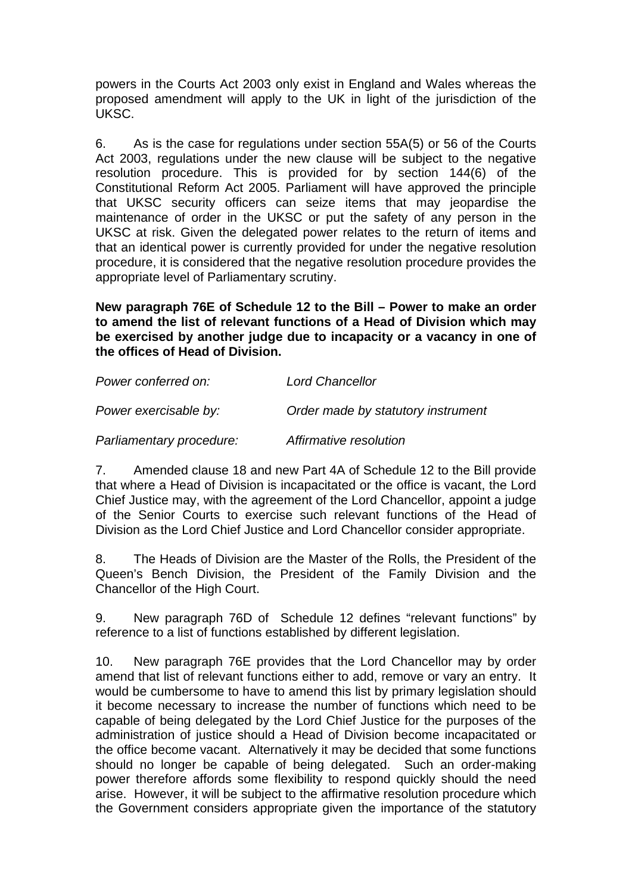powers in the Courts Act 2003 only exist in England and Wales whereas the proposed amendment will apply to the UK in light of the jurisdiction of the UKSC.

6. As is the case for regulations under section 55A(5) or 56 of the Courts Act 2003, regulations under the new clause will be subject to the negative resolution procedure. This is provided for by section 144(6) of the Constitutional Reform Act 2005. Parliament will have approved the principle that UKSC security officers can seize items that may jeopardise the maintenance of order in the UKSC or put the safety of any person in the UKSC at risk. Given the delegated power relates to the return of items and that an identical power is currently provided for under the negative resolution procedure, it is considered that the negative resolution procedure provides the appropriate level of Parliamentary scrutiny.

**New paragraph 76E of Schedule 12 to the Bill – Power to make an order to amend the list of relevant functions of a Head of Division which may be exercised by another judge due to incapacity or a vacancy in one of the offices of Head of Division.**

| Power conferred on:      | <b>Lord Chancellor</b>             |
|--------------------------|------------------------------------|
| Power exercisable by:    | Order made by statutory instrument |
| Parliamentary procedure: | Affirmative resolution             |

7. Amended clause 18 and new Part 4A of Schedule 12 to the Bill provide that where a Head of Division is incapacitated or the office is vacant, the Lord Chief Justice may, with the agreement of the Lord Chancellor, appoint a judge of the Senior Courts to exercise such relevant functions of the Head of Division as the Lord Chief Justice and Lord Chancellor consider appropriate.

8. The Heads of Division are the Master of the Rolls, the President of the Queen's Bench Division, the President of the Family Division and the Chancellor of the High Court.

9. New paragraph 76D of Schedule 12 defines "relevant functions" by reference to a list of functions established by different legislation.

10. New paragraph 76E provides that the Lord Chancellor may by order amend that list of relevant functions either to add, remove or vary an entry. It would be cumbersome to have to amend this list by primary legislation should it become necessary to increase the number of functions which need to be capable of being delegated by the Lord Chief Justice for the purposes of the administration of justice should a Head of Division become incapacitated or the office become vacant. Alternatively it may be decided that some functions should no longer be capable of being delegated. Such an order-making power therefore affords some flexibility to respond quickly should the need arise. However, it will be subject to the affirmative resolution procedure which the Government considers appropriate given the importance of the statutory